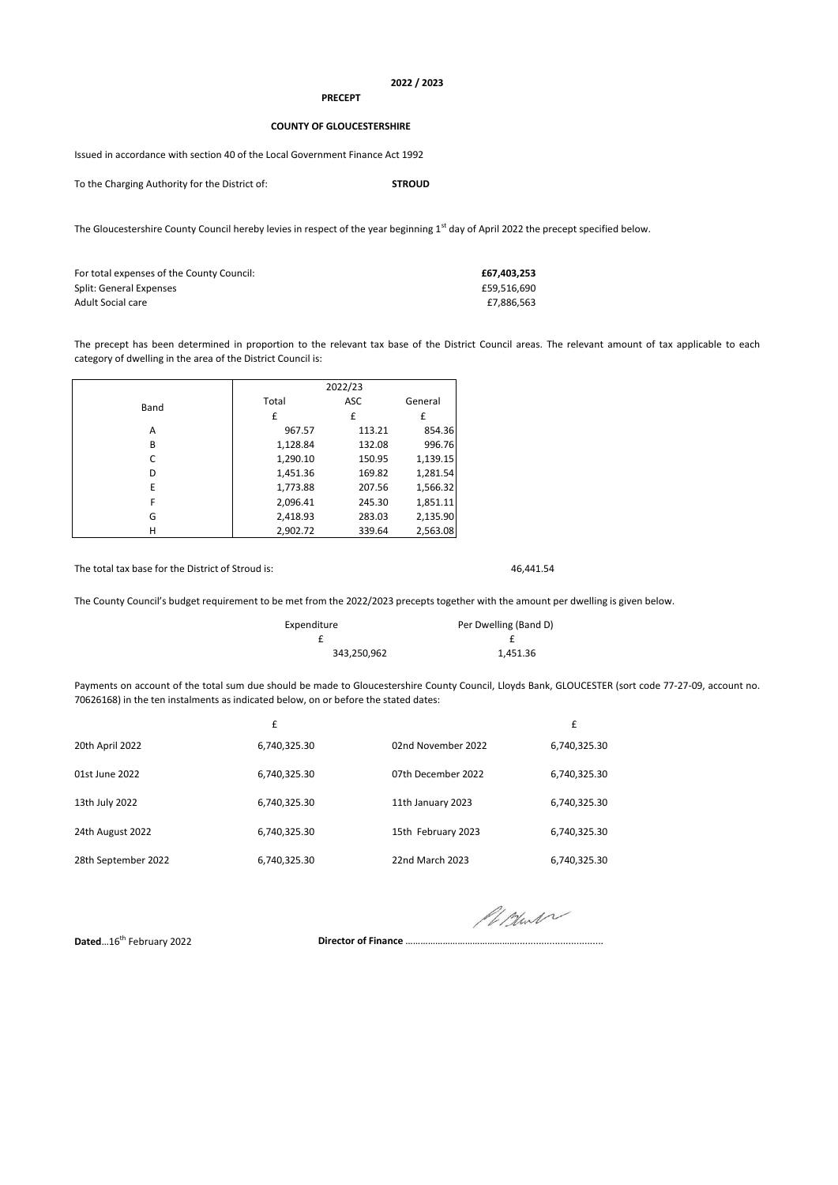## **2022 / 2023**

## **PRECEPT**

## **COUNTY OF GLOUCESTERSHIRE**

Issued in accordance with section 40 of the Local Government Finance Act 1992

To the Charging Authority for the District of: **STROUD**

The Gloucestershire County Council hereby levies in respect of the year beginning 1<sup>st</sup> day of April 2022 the precept specified below.

| For total expenses of the County Council: | £67.403.253 |
|-------------------------------------------|-------------|
| Split: General Expenses                   | £59.516.690 |
| Adult Social care                         | £7.886.563  |

The precept has been determined in proportion to the relevant tax base of the District Council areas. The relevant amount of tax applicable to each category of dwelling in the area of the District Council is:

|      | 2022/23  |        |          |  |
|------|----------|--------|----------|--|
| Band | Total    | ASC    | General  |  |
|      | £        | £      | £        |  |
| A    | 967.57   | 113.21 | 854.36   |  |
| B    | 1,128.84 | 132.08 | 996.76   |  |
| C    | 1,290.10 | 150.95 | 1,139.15 |  |
| D    | 1,451.36 | 169.82 | 1,281.54 |  |
| E    | 1,773.88 | 207.56 | 1,566.32 |  |
| F    | 2,096.41 | 245.30 | 1,851.11 |  |
| G    | 2,418.93 | 283.03 | 2,135.90 |  |
| н    | 2.902.72 | 339.64 | 2,563.08 |  |

The total tax base for the District of Stroud is: 46,441.54

The County Council's budget requirement to be met from the 2022/2023 precepts together with the amount per dwelling is given below.

| Expenditure | Per Dwelling (Band D) |
|-------------|-----------------------|
|             |                       |
| 343,250,962 | 1,451.36              |

Payments on account of the total sum due should be made to Gloucestershire County Council, Lloyds Bank, GLOUCESTER (sort code 77-27-09, account no. 70626168) in the ten instalments as indicated below, on or before the stated dates:

|                     | £            |                    | £            |
|---------------------|--------------|--------------------|--------------|
| 20th April 2022     | 6,740,325.30 | 02nd November 2022 | 6,740,325.30 |
| 01st June 2022      | 6,740,325.30 | 07th December 2022 | 6,740,325.30 |
| 13th July 2022      | 6,740,325.30 | 11th January 2023  | 6,740,325.30 |
| 24th August 2022    | 6,740,325.30 | 15th February 2023 | 6,740,325.30 |
| 28th September 2022 | 6,740,325.30 | 22nd March 2023    | 6,740,325.30 |

Pillant

**Dated...16<sup>th</sup> February 2022 Director of Finance …………………………………………………………………………**